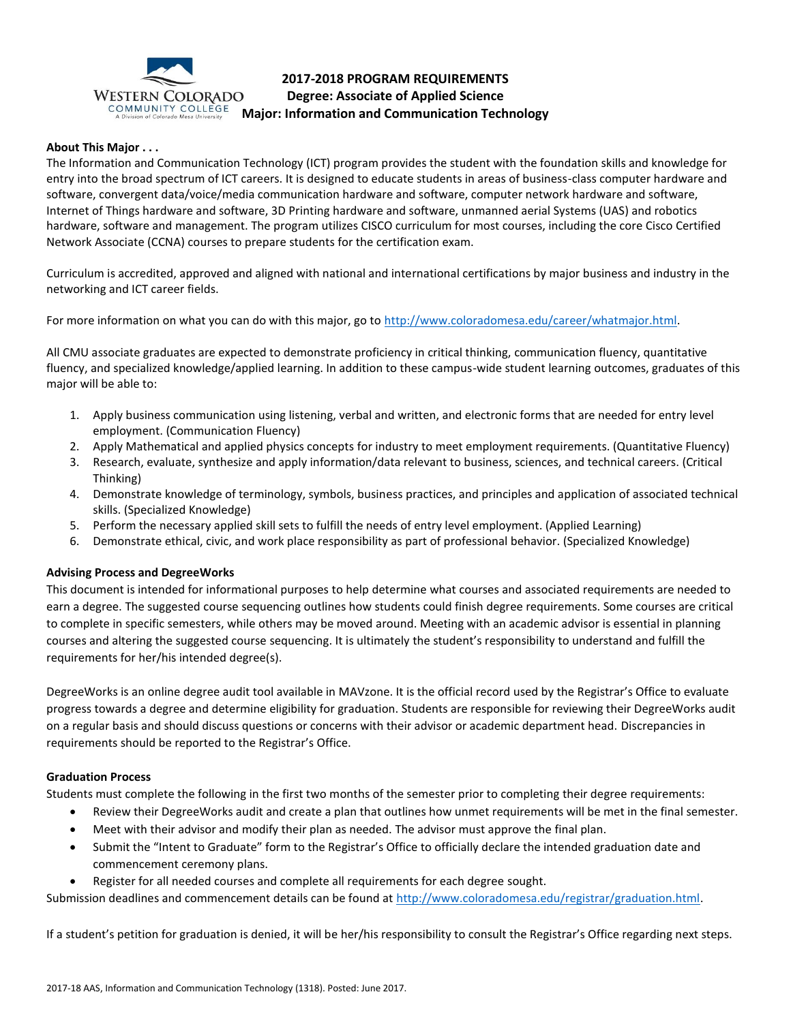

# **2017-2018 PROGRAM REQUIREMENTS Degree: Associate of Applied Science Major: Information and Communication Technology**

## **About This Major . . .**

The Information and Communication Technology (ICT) program provides the student with the foundation skills and knowledge for entry into the broad spectrum of ICT careers. It is designed to educate students in areas of business-class computer hardware and software, convergent data/voice/media communication hardware and software, computer network hardware and software, Internet of Things hardware and software, 3D Printing hardware and software, unmanned aerial Systems (UAS) and robotics hardware, software and management. The program utilizes CISCO curriculum for most courses, including the core Cisco Certified Network Associate (CCNA) courses to prepare students for the certification exam.

Curriculum is accredited, approved and aligned with national and international certifications by major business and industry in the networking and ICT career fields.

For more information on what you can do with this major, go to [http://www.coloradomesa.edu/career/whatmajor.html.](http://www.coloradomesa.edu/career/whatmajor.html)

All CMU associate graduates are expected to demonstrate proficiency in critical thinking, communication fluency, quantitative fluency, and specialized knowledge/applied learning. In addition to these campus-wide student learning outcomes, graduates of this major will be able to:

- 1. Apply business communication using listening, verbal and written, and electronic forms that are needed for entry level employment. (Communication Fluency)
- 2. Apply Mathematical and applied physics concepts for industry to meet employment requirements. (Quantitative Fluency)
- 3. Research, evaluate, synthesize and apply information/data relevant to business, sciences, and technical careers. (Critical Thinking)
- 4. Demonstrate knowledge of terminology, symbols, business practices, and principles and application of associated technical skills. (Specialized Knowledge)
- 5. Perform the necessary applied skill sets to fulfill the needs of entry level employment. (Applied Learning)
- 6. Demonstrate ethical, civic, and work place responsibility as part of professional behavior. (Specialized Knowledge)

# **Advising Process and DegreeWorks**

This document is intended for informational purposes to help determine what courses and associated requirements are needed to earn a degree. The suggested course sequencing outlines how students could finish degree requirements. Some courses are critical to complete in specific semesters, while others may be moved around. Meeting with an academic advisor is essential in planning courses and altering the suggested course sequencing. It is ultimately the student's responsibility to understand and fulfill the requirements for her/his intended degree(s).

DegreeWorks is an online degree audit tool available in MAVzone. It is the official record used by the Registrar's Office to evaluate progress towards a degree and determine eligibility for graduation. Students are responsible for reviewing their DegreeWorks audit on a regular basis and should discuss questions or concerns with their advisor or academic department head. Discrepancies in requirements should be reported to the Registrar's Office.

#### **Graduation Process**

Students must complete the following in the first two months of the semester prior to completing their degree requirements:

- Review their DegreeWorks audit and create a plan that outlines how unmet requirements will be met in the final semester.
- Meet with their advisor and modify their plan as needed. The advisor must approve the final plan.
- Submit the "Intent to Graduate" form to the Registrar's Office to officially declare the intended graduation date and commencement ceremony plans.
- Register for all needed courses and complete all requirements for each degree sought.

Submission deadlines and commencement details can be found at [http://www.coloradomesa.edu/registrar/graduation.html.](http://www.coloradomesa.edu/registrar/graduation.html)

If a student's petition for graduation is denied, it will be her/his responsibility to consult the Registrar's Office regarding next steps.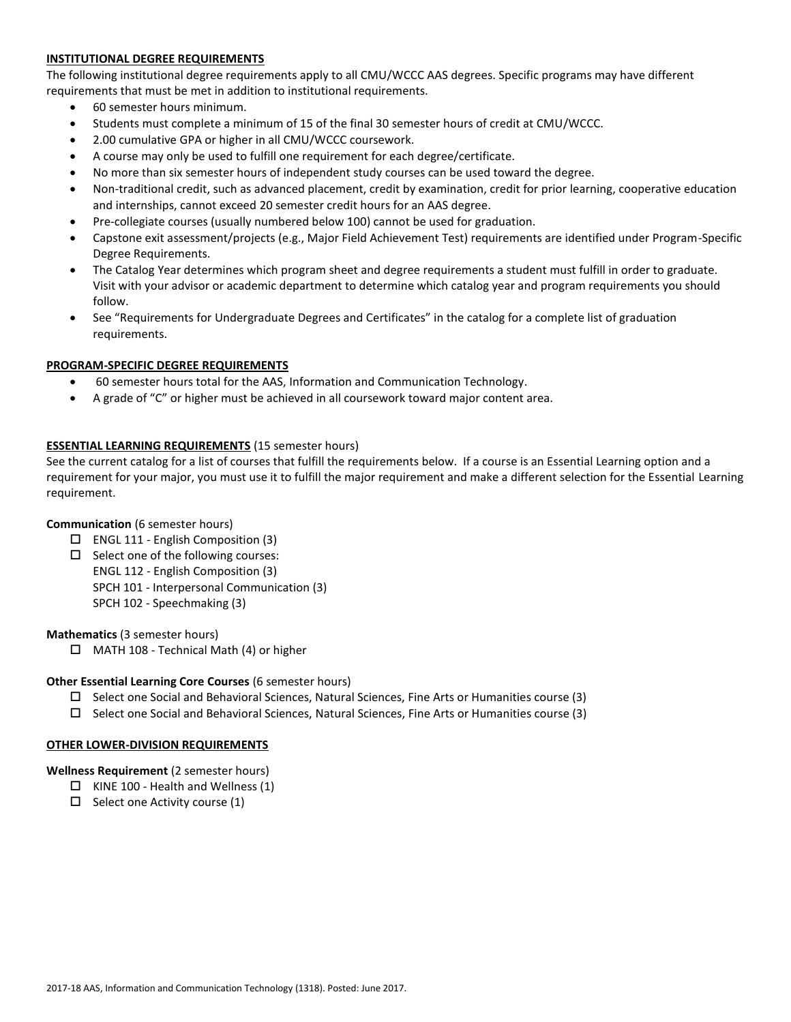# **INSTITUTIONAL DEGREE REQUIREMENTS**

The following institutional degree requirements apply to all CMU/WCCC AAS degrees. Specific programs may have different requirements that must be met in addition to institutional requirements.

- 60 semester hours minimum.
- Students must complete a minimum of 15 of the final 30 semester hours of credit at CMU/WCCC.
- 2.00 cumulative GPA or higher in all CMU/WCCC coursework.
- A course may only be used to fulfill one requirement for each degree/certificate.
- No more than six semester hours of independent study courses can be used toward the degree.
- Non-traditional credit, such as advanced placement, credit by examination, credit for prior learning, cooperative education and internships, cannot exceed 20 semester credit hours for an AAS degree.
- Pre-collegiate courses (usually numbered below 100) cannot be used for graduation.
- Capstone exit assessment/projects (e.g., Major Field Achievement Test) requirements are identified under Program-Specific Degree Requirements.
- The Catalog Year determines which program sheet and degree requirements a student must fulfill in order to graduate. Visit with your advisor or academic department to determine which catalog year and program requirements you should follow.
- See "Requirements for Undergraduate Degrees and Certificates" in the catalog for a complete list of graduation requirements.

### **PROGRAM-SPECIFIC DEGREE REQUIREMENTS**

- 60 semester hours total for the AAS, Information and Communication Technology.
- A grade of "C" or higher must be achieved in all coursework toward major content area.

# **ESSENTIAL LEARNING REQUIREMENTS** (15 semester hours)

See the current catalog for a list of courses that fulfill the requirements below. If a course is an Essential Learning option and a requirement for your major, you must use it to fulfill the major requirement and make a different selection for the Essential Learning requirement.

#### **Communication** (6 semester hours)

- $\square$  ENGL 111 English Composition (3)
- $\Box$  Select one of the following courses: ENGL 112 - English Composition (3) SPCH 101 - Interpersonal Communication (3) SPCH 102 - Speechmaking (3)

#### **Mathematics** (3 semester hours)

 $\Box$  MATH 108 - Technical Math (4) or higher

#### **Other Essential Learning Core Courses** (6 semester hours)

- $\square$  Select one Social and Behavioral Sciences, Natural Sciences, Fine Arts or Humanities course (3)
- $\square$  Select one Social and Behavioral Sciences, Natural Sciences, Fine Arts or Humanities course (3)

#### **OTHER LOWER-DIVISION REQUIREMENTS**

**Wellness Requirement** (2 semester hours)

- $\Box$  KINE 100 Health and Wellness (1)
- $\square$  Select one Activity course (1)